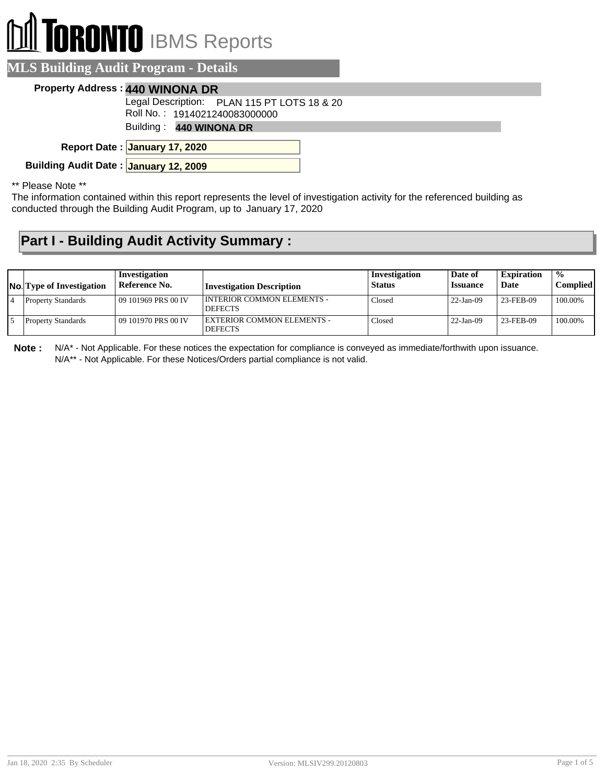# **BRONTO** IBMS Reports

#### **MLS Building Audit Program - Details**

#### **Property Address : 440 WINONA DR**

Legal Description: PLAN 115 PT LOTS 18 & 20

Roll No. : 1914021240083000000

Building : **440 WINONA DR**

**January 17, 2020 Report Date :**

**Building Audit Date : January 12, 2009**

\*\* Please Note \*\*

The information contained within this report represents the level of investigation activity for the referenced building as conducted through the Building Audit Program, up to January 17, 2020

### **Part I - Building Audit Activity Summary :**

| <b>No.</b> Type of Investigation | Investigation<br>Reference No. | Investigation Description                           | Investigation<br><b>Status</b> | Date of<br><i><b>Issuance</b></i> | <b>Expiration</b><br>Date | $\frac{0}{0}$<br>Complied |
|----------------------------------|--------------------------------|-----------------------------------------------------|--------------------------------|-----------------------------------|---------------------------|---------------------------|
| <b>Property Standards</b>        | 09 101969 PRS 00 IV            | <b>INTERIOR COMMON ELEMENTS -</b><br><b>DEFECTS</b> | Closed                         | $22-Jan-09$                       | 23-FEB-09                 | 100.00%                   |
| <b>Property Standards</b>        | 09 101970 PRS 00 IV            | EXTERIOR COMMON ELEMENTS -<br><b>DEFECTS</b>        | Closed                         | $22-Jan-09$                       | 23-FEB-09                 | 100.00%                   |

**Note :** N/A\* - Not Applicable. For these notices the expectation for compliance is conveyed as immediate/forthwith upon issuance. N/A\*\* - Not Applicable. For these Notices/Orders partial compliance is not valid.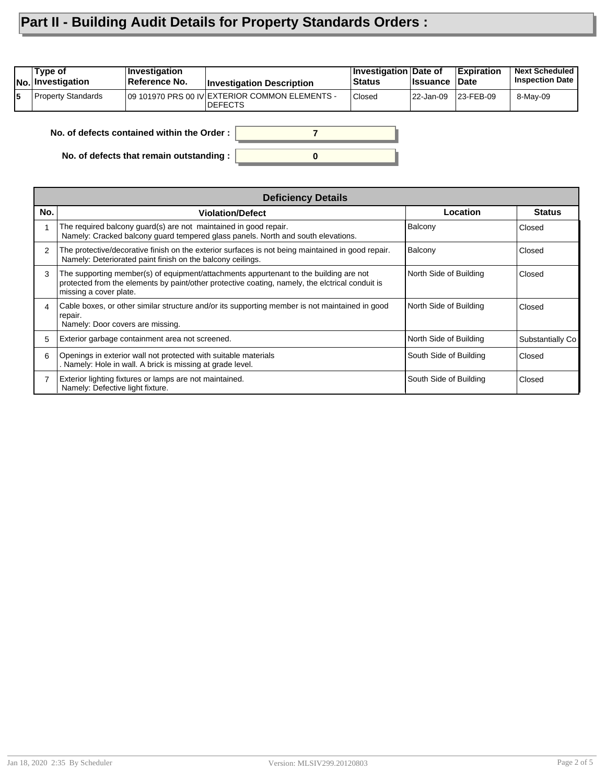## **Part II - Building Audit Details for Property Standards Orders :**

|    | Type of<br><b>No. Investigation</b> | Investigation<br>Reference No.             | <b>Investigation Description</b>                                 | Investigation Date of<br>Status | <b>Issuance</b> | Expiration<br>Date | <b>Next Scheduled</b><br><b>Inspection Date</b> |
|----|-------------------------------------|--------------------------------------------|------------------------------------------------------------------|---------------------------------|-----------------|--------------------|-------------------------------------------------|
| 15 | Property Standards                  |                                            | 09 101970 PRS 00 IV EXTERIOR COMMON ELEMENTS -<br><b>DEFECTS</b> | <b>Closed</b>                   | l 22-Jan-09     | 23-FEB-09          | 8-May-09                                        |
|    |                                     | No. of defects contained within the Order: |                                                                  |                                 |                 |                    |                                                 |

**0**

**No. of defects contained within the Order :**

**No. of defects that remain outstanding :**

|                | <b>Deficiency Details</b>                                                                                                                                                                                          |                        |                  |  |  |  |
|----------------|--------------------------------------------------------------------------------------------------------------------------------------------------------------------------------------------------------------------|------------------------|------------------|--|--|--|
| No.            | <b>Violation/Defect</b>                                                                                                                                                                                            | Location               | <b>Status</b>    |  |  |  |
|                | The required balcony guard(s) are not maintained in good repair.<br>Namely: Cracked balcony quard tempered glass panels. North and south elevations.                                                               | Balcony                | Closed           |  |  |  |
| $\overline{2}$ | The protective/decorative finish on the exterior surfaces is not being maintained in good repair.<br>Namely: Deteriorated paint finish on the balcony ceilings.                                                    | Balcony                | Closed           |  |  |  |
| 3              | The supporting member(s) of equipment/attachments appurtenant to the building are not<br>protected from the elements by paint/other protective coating, namely, the elctrical conduit is<br>missing a cover plate. | North Side of Building | Closed           |  |  |  |
| 4              | Cable boxes, or other similar structure and/or its supporting member is not maintained in good<br>repair.<br>Namely: Door covers are missing.                                                                      | North Side of Building | Closed           |  |  |  |
| 5.             | Exterior garbage containment area not screened.                                                                                                                                                                    | North Side of Building | Substantially Co |  |  |  |
| 6              | Openings in exterior wall not protected with suitable materials<br>Namely: Hole in wall. A brick is missing at grade level.                                                                                        | South Side of Building | Closed           |  |  |  |
|                | Exterior lighting fixtures or lamps are not maintained.<br>Namely: Defective light fixture.                                                                                                                        | South Side of Building | Closed           |  |  |  |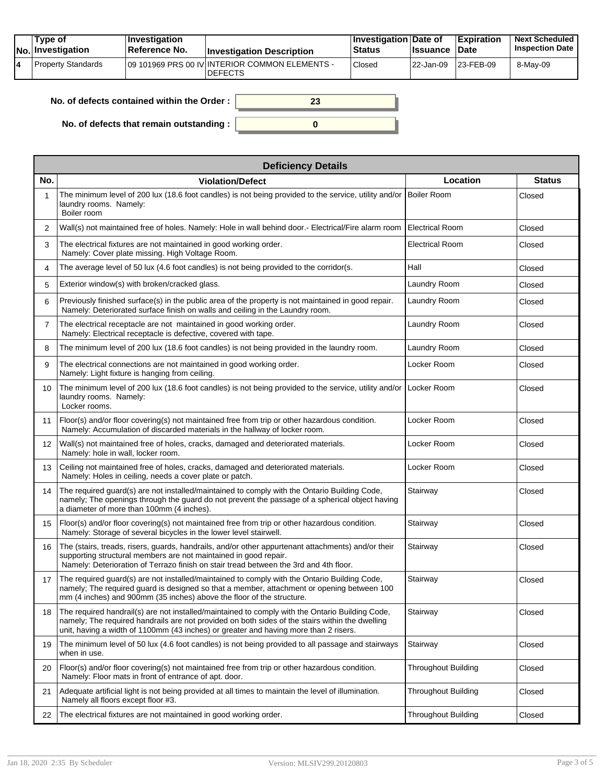|  | Tvpe of<br>No. Investigation | <b>Investigation</b><br>Reference No. | <b>Investigation Description</b>                                 | <b>Investigation Date of</b><br><b>Status</b> | <b>Issuance Date</b> | Expiration        | <b>Next Scheduled</b><br><b>Inspection Date</b> |
|--|------------------------------|---------------------------------------|------------------------------------------------------------------|-----------------------------------------------|----------------------|-------------------|-------------------------------------------------|
|  | Property Standards           |                                       | 09 101969 PRS 00 IV INTERIOR COMMON ELEMENTS -<br><b>DEFECTS</b> | Closed                                        | 22-Jan-09            | $ 23 - FEB - 09 $ | 8-May-09                                        |

| No. of defects contained within the Order: |  |
|--------------------------------------------|--|
| No. of defects that remain outstanding :   |  |

|                   | <b>Deficiency Details</b>                                                                                                                                                                                                                                                                  |                            |               |  |  |  |  |
|-------------------|--------------------------------------------------------------------------------------------------------------------------------------------------------------------------------------------------------------------------------------------------------------------------------------------|----------------------------|---------------|--|--|--|--|
| No.               | <b>Violation/Defect</b>                                                                                                                                                                                                                                                                    | Location                   | <b>Status</b> |  |  |  |  |
| 1                 | The minimum level of 200 lux (18.6 foot candles) is not being provided to the service, utility and/or<br>laundry rooms. Namely:<br>Boiler room                                                                                                                                             | Boiler Room                | Closed        |  |  |  |  |
| $\overline{2}$    | Wall(s) not maintained free of holes. Namely: Hole in wall behind door.- Electrical/Fire alarm room                                                                                                                                                                                        | <b>Electrical Room</b>     | Closed        |  |  |  |  |
| 3                 | The electrical fixtures are not maintained in good working order.<br>Namely: Cover plate missing. High Voltage Room.                                                                                                                                                                       | Electrical Room            | Closed        |  |  |  |  |
| 4                 | The average level of 50 lux (4.6 foot candles) is not being provided to the corridor(s.                                                                                                                                                                                                    | Hall                       | Closed        |  |  |  |  |
| 5                 | Exterior window(s) with broken/cracked glass.                                                                                                                                                                                                                                              | Laundry Room               | Closed        |  |  |  |  |
| 6                 | Previously finished surface(s) in the public area of the property is not maintained in good repair.<br>Namely: Deteriorated surface finish on walls and ceiling in the Laundry room.                                                                                                       | Laundry Room               | Closed        |  |  |  |  |
| $\overline{7}$    | The electrical receptacle are not maintained in good working order.<br>Namely: Electrical receptacle is defective, covered with tape.                                                                                                                                                      | Laundry Room               | Closed        |  |  |  |  |
| 8                 | The minimum level of 200 lux (18.6 foot candles) is not being provided in the laundry room.                                                                                                                                                                                                | Laundry Room               | Closed        |  |  |  |  |
| 9                 | The electrical connections are not maintained in good working order.<br>Namely: Light fixture is hanging from ceiling.                                                                                                                                                                     | Locker Room                | Closed        |  |  |  |  |
| 10                | The minimum level of 200 lux (18.6 foot candles) is not being provided to the service, utility and/or<br>laundry rooms. Namely:<br>Locker rooms.                                                                                                                                           | Locker Room                | Closed        |  |  |  |  |
| 11                | Floor(s) and/or floor covering(s) not maintained free from trip or other hazardous condition.<br>Namely: Accumulation of discarded materials in the hallway of locker room.                                                                                                                | Locker Room                | Closed        |  |  |  |  |
| $12 \overline{ }$ | Wall(s) not maintained free of holes, cracks, damaged and deteriorated materials.<br>Namely: hole in wall, locker room.                                                                                                                                                                    | Locker Room                | Closed        |  |  |  |  |
| 13                | Ceiling not maintained free of holes, cracks, damaged and deteriorated materials.<br>Namely: Holes in ceiling, needs a cover plate or patch.                                                                                                                                               | Locker Room                | Closed        |  |  |  |  |
| 14                | The required guard(s) are not installed/maintained to comply with the Ontario Building Code,<br>namely; The openings through the guard do not prevent the passage of a spherical object having<br>a diameter of more than 100mm (4 inches).                                                | Stairway                   | Closed        |  |  |  |  |
| 15                | Floor(s) and/or floor covering(s) not maintained free from trip or other hazardous condition.<br>Namely: Storage of several bicycles in the lower level stairwell.                                                                                                                         | Stairway                   | Closed        |  |  |  |  |
| 16                | The (stairs, treads, risers, guards, handrails, and/or other appurtenant attachments) and/or their<br>supporting structural members are not maintained in good repair.<br>Namely: Deterioration of Terrazo finish on stair tread between the 3rd and 4th floor.                            | Stairway                   | Closed        |  |  |  |  |
| 17                | The required quard(s) are not installed/maintained to comply with the Ontario Building Code,<br>namely; The required guard is designed so that a member, attachment or opening between 100<br>mm (4 inches) and 900mm (35 inches) above the floor of the structure.                        | Stairway                   | Closed        |  |  |  |  |
| 18                | The required handrail(s) are not installed/maintained to comply with the Ontario Building Code,<br>namely; The required handrails are not provided on both sides of the stairs within the dwelling<br>unit, having a width of 1100mm (43 inches) or greater and having more than 2 risers. | Stairway                   | Closed        |  |  |  |  |
| 19                | The minimum level of 50 lux (4.6 foot candles) is not being provided to all passage and stairways<br>when in use.                                                                                                                                                                          | Stairway                   | Closed        |  |  |  |  |
| 20                | Floor(s) and/or floor covering(s) not maintained free from trip or other hazardous condition.<br>Namely: Floor mats in front of entrance of apt. door.                                                                                                                                     | <b>Throughout Building</b> | Closed        |  |  |  |  |
| 21                | Adequate artificial light is not being provided at all times to maintain the level of illumination.<br>Namely all floors except floor #3.                                                                                                                                                  | <b>Throughout Building</b> | Closed        |  |  |  |  |
| 22                | The electrical fixtures are not maintained in good working order.                                                                                                                                                                                                                          | <b>Throughout Building</b> | Closed        |  |  |  |  |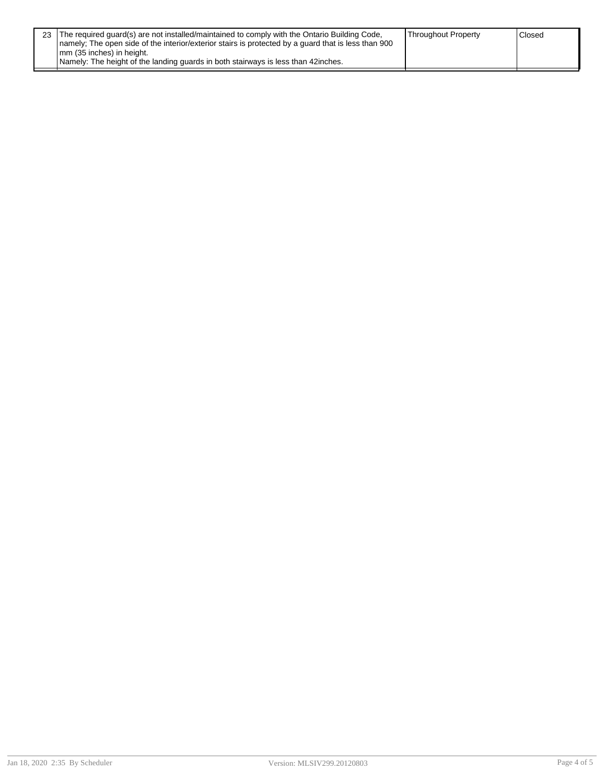| 23 The required guard(s) are not installed/maintained to comply with the Ontario Building Code,<br>Inamely: The open side of the interior/exterior stairs is protected by a quard that is less than 900<br>mm (35 inches) in height.<br>Namely: The height of the landing guards in both stairways is less than 42 inches. | <b>Throughout Property</b> | Closed <sup>'</sup> |
|----------------------------------------------------------------------------------------------------------------------------------------------------------------------------------------------------------------------------------------------------------------------------------------------------------------------------|----------------------------|---------------------|
|                                                                                                                                                                                                                                                                                                                            |                            |                     |